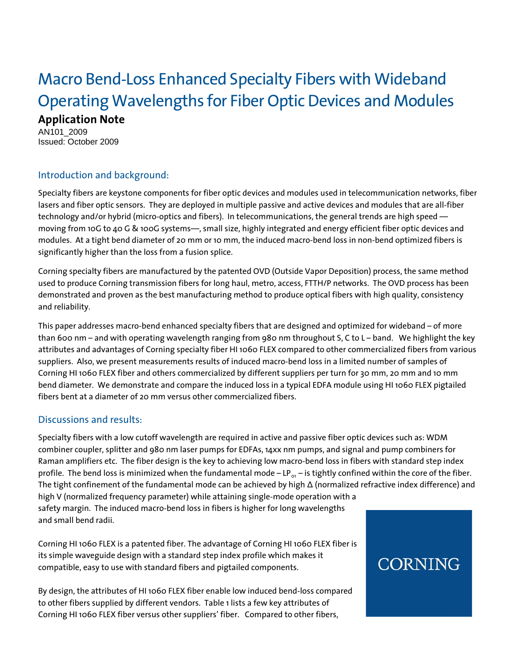# Macro Bend-Loss Enhanced Specialty Fibers with Wideband Operating Wavelengths for Fiber Optic Devices and Modules **Application Note**

AN101\_2009 Issued: October 2009

# Introduction and background:

Specialty fibers are keystone components for fiber optic devices and modules used in telecommunication networks, fiber lasers and fiber optic sensors. They are deployed in multiple passive and active devices and modules that are all-fiber technology and/or hybrid (micro-optics and fibers). In telecommunications, the general trends are high speed moving from 10G to 40 G & 100G systems—, small size, highly integrated and energy efficient fiber optic devices and modules. At a tight bend diameter of 20 mm or 10 mm, the induced macro-bend loss in non-bend optimized fibers is significantly higher than the loss from a fusion splice.

Corning specialty fibers are manufactured by the patented OVD (Outside Vapor Deposition) process, the same method used to produce Corning transmission fibers for long haul, metro, access, FTTH/P networks. The OVD process has been demonstrated and proven as the best manufacturing method to produce optical fibers with high quality, consistency and reliability.

This paper addresses macro-bend enhanced specialty fibers that are designed and optimized for wideband – of more than 600 nm – and with operating wavelength ranging from 980 nm throughout S, C to L – band. We highlight the key attributes and advantages of Corning specialty fiber HI 1060 FLEX compared to other commercialized fibers from various suppliers. Also, we present measurements results of induced macro-bend loss in a limited number of samples of Corning HI 1060 FLEX fiber and others commercialized by different suppliers per turn for 30 mm, 20 mm and 10 mm bend diameter. We demonstrate and compare the induced loss in a typical EDFA module using HI 1060 FLEX pigtailed fibers bent at a diameter of 20 mm versus other commercialized fibers.

#### Discussions and results:

Specialty fibers with a low cutoff wavelength are required in active and passive fiber optic devices such as: WDM combiner coupler, splitter and 980 nm laser pumps for EDFAs, 14xx nm pumps, and signal and pump combiners for Raman amplifiers etc. The fiber design is the key to achieving low macro-bend loss in fibers with standard step index profile. The bend loss is minimized when the fundamental mode – LP<sub>o1</sub> – is tightly confined within the core of the fiber. The tight confinement of the fundamental mode can be achieved by high Δ (normalized refractive index difference) and high V (normalized frequency parameter) while attaining single-mode operation with a safety margin. The induced macro-bend loss in fibers is higher for long wavelengths and small bend radii.

Corning HI 1060 FLEX is a patented fiber. The advantage of Corning HI 1060 FLEX fiber is its simple waveguide design with a standard step index profile which makes it compatible, easy to use with standard fibers and pigtailed components.

By design, the attributes of HI 1060 FLEX fiber enable low induced bend-loss compared to other fibers supplied by different vendors. Table 1 lists a few key attributes of Corning HI 1060 FLEX fiber versus other suppliers' fiber. Compared to other fibers,

# **CORNING**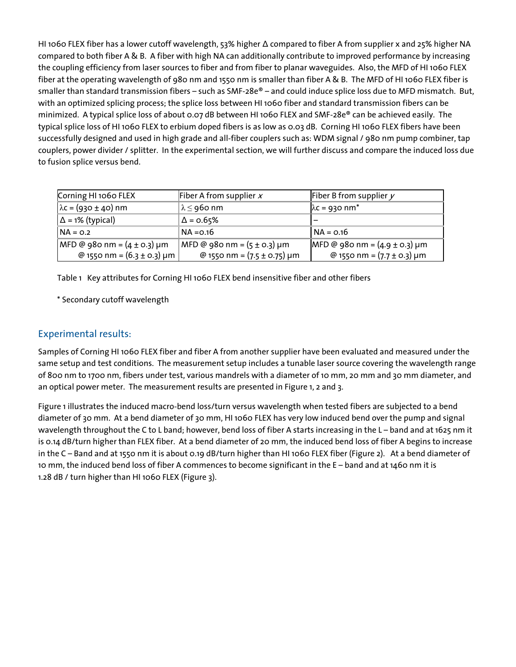HI 1060 FLEX fiber has a lower cutoff wavelength, 53% higher Δ compared to fiber A from supplier x and 25% higher NA compared to both fiber A & B. A fiber with high NA can additionally contribute to improved performance by increasing the coupling efficiency from laser sources to fiber and from fiber to planar waveguides. Also, the MFD of HI 1060 FLEX fiber at the operating wavelength of 980 nm and 1550 nm is smaller than fiber A & B. The MFD of HI 1060 FLEX fiber is smaller than standard transmission fibers – such as SMF-28e® – and could induce splice loss due to MFD mismatch. But, with an optimized splicing process; the splice loss between HI 1060 fiber and standard transmission fibers can be minimized. A typical splice loss of about 0.07 dB between HI 1060 FLEX and SMF-28e® can be achieved easily. The typical splice loss of HI 1060 FLEX to erbium doped fibers is as low as 0.03 dB. Corning HI 1060 FLEX fibers have been successfully designed and used in high grade and all-fiber couplers such as: WDM signal / 980 nm pump combiner, tap couplers, power divider / splitter. In the experimental section, we will further discuss and compare the induced loss due to fusion splice versus bend.

| Corning HI 1060 FLEX                | Fiber A from supplier $x$                                         | Fiber B from supplier $y$         |  |
|-------------------------------------|-------------------------------------------------------------------|-----------------------------------|--|
| $\lambda$ c = (930 ± 40) nm         | ∣ λ ≤ 960 nm                                                      | $\lambda c = 930$ nm <sup>*</sup> |  |
| $\Delta$ = 1% (typical)             | $\Delta$ = 0.65%                                                  |                                   |  |
| INA = 0.2                           | NA =0.16                                                          | l NA = 0.16                       |  |
| $ $ MFD @ 980 nm = $(4 \pm 0.3)$ µm | MFD @ 980 nm = (5 ± 0.3) µm                                       | MFD @ 980 nm = $(4.9 \pm 0.3)$ µm |  |
| @ 1550 nm = $(6.3 \pm 0.3)$ µm      | @ 1550 nm = $(7.7 \pm 0.3)$ µm<br>@ 1550 nm = $(7.5 \pm 0.75)$ µm |                                   |  |

Table 1 Key attributes for Corning HI 1060 FLEX bend insensitive fiber and other fibers

\* Secondary cutoff wavelength

#### Experimental results:

Samples of Corning HI 1060 FLEX fiber and fiber A from another supplier have been evaluated and measured under the same setup and test conditions. The measurement setup includes a tunable laser source covering the wavelength range of 800 nm to 1700 nm, fibers under test, various mandrels with a diameter of 10 mm, 20 mm and 30 mm diameter, and an optical power meter. The measurement results are presented in Figure 1, 2 and 3.

Figure 1 illustrates the induced macro-bend loss/turn versus wavelength when tested fibers are subjected to a bend diameter of 30 mm. At a bend diameter of 30 mm, HI 1060 FLEX has very low induced bend over the pump and signal wavelength throughout the C to L band; however, bend loss of fiber A starts increasing in the L – band and at 1625 nm it is 0.14 dB/turn higher than FLEX fiber. At a bend diameter of 20 mm, the induced bend loss of fiber A begins to increase in the C – Band and at 1550 nm it is about 0.19 dB/turn higher than HI 1060 FLEX fiber (Figure 2). At a bend diameter of 10 mm, the induced bend loss of fiber A commences to become significant in the E – band and at 1460 nm it is 1.28 dB / turn higher than HI 1060 FLEX (Figure 3).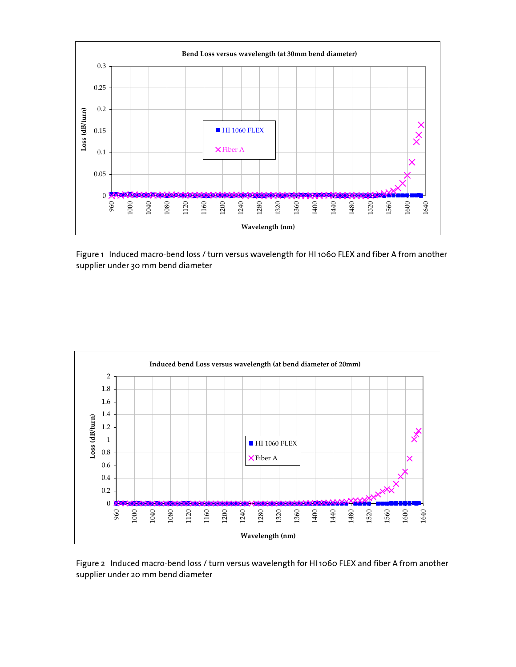

Figure 1 Induced macro-bend loss / turn versus wavelength for HI 1060 FLEX and fiber A from another supplier under 30 mm bend diameter



Figure 2 Induced macro-bend loss / turn versus wavelength for HI 1060 FLEX and fiber A from another supplier under 20 mm bend diameter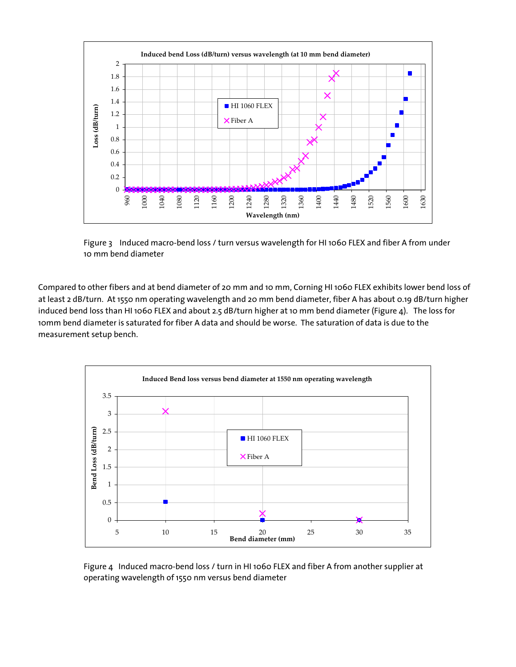

Figure 3 Induced macro-bend loss / turn versus wavelength for HI 1060 FLEX and fiber A from under 10 mm bend diameter

Compared to other fibers and at bend diameter of 20 mm and 10 mm, Corning HI 1060 FLEX exhibits lower bend loss of at least 2 dB/turn. At 1550 nm operating wavelength and 20 mm bend diameter, fiber A has about 0.19 dB/turn higher induced bend loss than HI 1060 FLEX and about 2.5 dB/turn higher at 10 mm bend diameter (Figure 4). The loss for 10mm bend diameter is saturated for fiber A data and should be worse. The saturation of data is due to the measurement setup bench.



Figure 4 Induced macro-bend loss / turn in HI 1060 FLEX and fiber A from another supplier at operating wavelength of 1550 nm versus bend diameter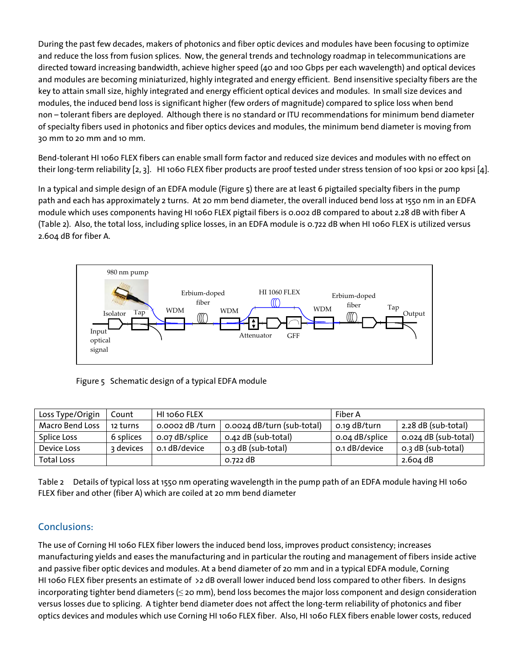During the past few decades, makers of photonics and fiber optic devices and modules have been focusing to optimize and reduce the loss from fusion splices. Now, the general trends and technology roadmap in telecommunications are directed toward increasing bandwidth, achieve higher speed (40 and 100 Gbps per each wavelength) and optical devices and modules are becoming miniaturized, highly integrated and energy efficient. Bend insensitive specialty fibers are the key to attain small size, highly integrated and energy efficient optical devices and modules. In small size devices and modules, the induced bend loss is significant higher (few orders of magnitude) compared to splice loss when bend non – tolerant fibers are deployed. Although there is no standard or ITU recommendations for minimum bend diameter of specialty fibers used in photonics and fiber optics devices and modules, the minimum bend diameter is moving from 30 mm to 20 mm and 10 mm.

Bend-tolerant HI 1060 FLEX fibers can enable small form factor and reduced size devices and modules with no effect on their long-term reliability [2, 3]. HI 1060 FLEX fiber products are proof tested under stress tension of 100 kpsi or 200 kpsi [4].

In a typical and simple design of an EDFA module (Figure 5) there are at least 6 pigtailed specialty fibers in the pump path and each has approximately 2 turns. At 20 mm bend diameter, the overall induced bend loss at 1550 nm in an EDFA module which uses components having HI 1060 FLEX pigtail fibers is 0.002 dB compared to about 2.28 dB with fiber A (Table 2). Also, the total loss, including splice losses, in an EDFA module is 0.722 dB when HI 1060 FLEX is utilized versus 2.604 dB for fiber A.



Figure 5 Schematic design of a typical EDFA module

| Loss Type/Origin  | Count     | HI 1060 FLEX    |                            | Fiber A        |                      |
|-------------------|-----------|-----------------|----------------------------|----------------|----------------------|
| Macro Bend Loss   | 12 turns  | o.ooo2 dB /turn | 0.0024 dB/turn (sub-total) | o.19 dB/turn   | 2.28 dB (sub-total)  |
| Splice Loss       | 6 splices | o.o7 dB/splice  | o.42 dB (sub-total)        | 0.04 dB/splice | 0.024 dB (sub-total) |
| Device Loss       | 3 devices | o.1 dB/device   | 0.3 dB (sub-total)         | o.1 dB/device  | 0.3 dB (sub-total)   |
| <b>Total Loss</b> |           |                 | 0.722 dB                   |                | $2.604$ dB           |

Table 2 Details of typical loss at 1550 nm operating wavelength in the pump path of an EDFA module having HI 1060 FLEX fiber and other (fiber A) which are coiled at 20 mm bend diameter

# Conclusions:

The use of Corning HI 1060 FLEX fiber lowers the induced bend loss, improves product consistency; increases manufacturing yields and eases the manufacturing and in particular the routing and management of fibers inside active and passive fiber optic devices and modules. At a bend diameter of 20 mm and in a typical EDFA module, Corning HI 1060 FLEX fiber presents an estimate of >2 dB overall lower induced bend loss compared to other fibers. In designs incorporating tighter bend diameters (≤ 20 mm), bend loss becomes the major loss component and design consideration versus losses due to splicing. A tighter bend diameter does not affect the long-term reliability of photonics and fiber optics devices and modules which use Corning HI 1060 FLEX fiber. Also, HI 1060 FLEX fibers enable lower costs, reduced